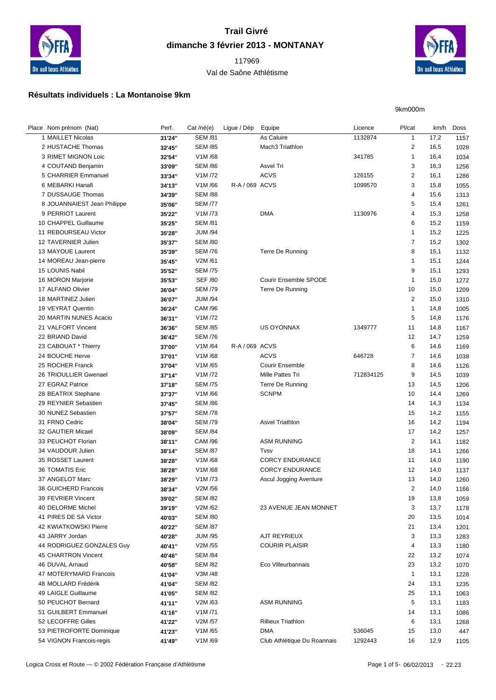

## **Trail Givré dimanche 3 février 2013 - MONTANAY**

## Val de Saône Athlétisme



9km000m

## **Résultats individuels : La Montanoise 9km**

| Place Nom prénom (Nat)      | Perf.  | Cat /né(e)     | Ligue / Dép    | Equipe                       | Licence   | Pl/cat         |      | km/h Doss |
|-----------------------------|--------|----------------|----------------|------------------------------|-----------|----------------|------|-----------|
| 1 MAILLET Nicolas           | 31'24" | <b>SEM /81</b> |                | As Caluire                   | 1132874   | $\mathbf{1}$   | 17,2 | 1157      |
| 2 HUSTACHE Thomas           | 32'45" | <b>SEM /85</b> |                | Mach3 Triathlon              |           | 2              | 16,5 | 1028      |
| 3 RIMET MIGNON Loic         | 32'54" | V1M/68         |                |                              | 341785    | $\mathbf{1}$   | 16,4 | 1034      |
| 4 COUTAND Benjamin          | 33'09" | <b>SEM /86</b> |                | Asvel Tri                    |           | 3              | 16,3 | 1256      |
| 5 CHARRIER Emmanuel         | 33'34" | V1M /72        |                | <b>ACVS</b>                  | 126155    | $\overline{2}$ | 16,1 | 1286      |
| 6 MEBARKI Hanafi            | 34'13" | V1M/66         | R-A / 069 ACVS |                              | 1099570   | 3              | 15,8 | 1055      |
| 7 DUSSAUGE Thomas           | 34'39" | <b>SEM /88</b> |                |                              |           | 4              | 15,6 | 1313      |
| 8 JOUANNAIEST Jean Philippe | 35'06" | <b>SEM /77</b> |                |                              |           | 5              | 15,4 | 1261      |
| 9 PERRIOT Laurent           | 35'22" | V1M/73         |                | <b>DMA</b>                   | 1130976   | $\overline{4}$ | 15,3 | 1258      |
| 10 CHAPPEL Guillaume        | 35'25" | <b>SEM /81</b> |                |                              |           | 6              | 15,2 | 1159      |
| 11 REBOURSEAU Victor        | 35'28" | <b>JUM /94</b> |                |                              |           | $\mathbf{1}$   | 15,2 | 1225      |
| 12 TAVERNIER Julien         | 35'37" | <b>SEM /80</b> |                |                              |           | $\overline{7}$ | 15,2 | 1302      |
| 13 MAYOUE Laurent           |        | <b>SEM /76</b> |                | Terre De Running             |           | 8              | 15,1 |           |
|                             | 35'39" | V2M /61        |                |                              |           | $\mathbf{1}$   |      | 1132      |
| 14 MOREAU Jean-pierre       | 35'45" |                |                |                              |           | 9              | 15,1 | 1244      |
| 15 LOUNIS Nabil             | 35'52" | <b>SEM /75</b> |                |                              |           |                | 15,1 | 1293      |
| 16 MORON Marjorie           | 35'53" | <b>SEF /80</b> |                | <b>Courir Ensemble SPODE</b> |           | $\mathbf{1}$   | 15,0 | 1272      |
| 17 ALFANO Olivier           | 36'04" | <b>SEM /79</b> |                | Terre De Running             |           | 10             | 15,0 | 1209      |
| 18 MARTINEZ Julien          | 36'07" | <b>JUM /94</b> |                |                              |           | $\overline{2}$ | 15,0 | 1310      |
| 19 VEYRAT Quentin           | 36'24" | <b>CAM /96</b> |                |                              |           | $\mathbf{1}$   | 14,8 | 1005      |
| 20 MARTIN NUNES Acacio      | 36'31" | V1M /72        |                |                              |           | 5              | 14,8 | 1176      |
| 21 VALFORT Vincent          | 36'36" | <b>SEM /85</b> |                | <b>US OYONNAX</b>            | 1349777   | 11             | 14,8 | 1167      |
| 22 BRIAND David             | 36'42" | <b>SEM /76</b> |                |                              |           | 12             | 14,7 | 1259      |
| 23 CABOUAT * Thierry        | 37'00" | V1M/64         | R-A / 069 ACVS |                              |           | 6              | 14,6 | 1169      |
| 24 BOUCHE Herve             | 37'01" | V1M/68         |                | <b>ACVS</b>                  | 646728    | $\overline{7}$ | 14,6 | 1038      |
| 25 ROCHER Franck            | 37'04" | V1M/65         |                | <b>Courir Ensemble</b>       |           | 8              | 14,6 | 1126      |
| 26 TRIOULLIER Gwenael       | 37'14" | V1M /72        |                | Mille Pattes Tri             | 712834125 | 9              | 14,5 | 1039      |
| 27 EGRAZ Patrice            | 37'18" | <b>SEM /75</b> |                | Terre De Running             |           | 13             | 14,5 | 1206      |
| 28 BEATRIX Stephane         | 37'37" | V1M/66         |                | <b>SCNPM</b>                 |           | 10             | 14,4 | 1269      |
| 29 REYNIER Sebastien        | 37'45" | <b>SEM /86</b> |                |                              |           | 14             | 14,3 | 1134      |
| 30 NUNEZ Sebastien          | 37'57" | <b>SEM /78</b> |                |                              |           | 15             | 14,2 | 1155      |
| 31 FRNO Cedric              | 38'04" | <b>SEM /79</b> |                | <b>Asvel Triathlon</b>       |           | 16             | 14,2 | 1194      |
| 32 GAUTIER Micael           | 38'09" | <b>SEM /84</b> |                |                              |           | 17             | 14,2 | 1257      |
| 33 PEUCHOT Florian          | 38'11" | CAM /96        |                | <b>ASM RUNNING</b>           |           | $\overline{2}$ | 14,1 | 1182      |
| 34 VAUDOUR Julien           | 38'14" | <b>SEM /87</b> |                | Tvsv                         |           | 18             | 14,1 | 1266      |
| 35 ROSSET Laurent           | 38'28" | V1M/68         |                | <b>CORCY ENDURANCE</b>       |           | 11             | 14,0 | 1190      |
| 36 TOMATIS Eric             | 38'28" | V1M/68         |                | <b>CORCY ENDURANCE</b>       |           | 12             | 14,0 | 1137      |
| 37 ANGELOT Marc             | 38'29" | V1M /73        |                | Ascul Jogging Aventure       |           | 13             | 14,0 | 1260      |
| 38 GUICHERD Francois        | 38'34" | V2M /56        |                |                              |           | 2              | 14,0 | 1166      |
| 39 FEVRIER Vincent          | 39'02" | <b>SEM /82</b> |                |                              |           | 19             | 13,8 | 1059      |
| 40 DELORME Michel           | 39'19" | V2M/62         |                | 23 AVENUE JEAN MONNET        |           | 3              | 13,7 | 1178      |
| 41 PIRES DE SA Victor       | 40'03" | <b>SEM /80</b> |                |                              |           | 20             | 13,5 | 1014      |
| 42 KWIATKOWSKI Pierre       | 40'22" | <b>SEM /87</b> |                |                              |           | 21             | 13,4 | 1201      |
| 43 JARRY Jordan             | 40'28" | <b>JUM /95</b> |                | AJT REYRIEUX                 |           | 3              | 13,3 | 1283      |
| 44 RODRIGUEZ GONZALES Guy   | 40'41" | V2M /55        |                | <b>COURIR PLAISIR</b>        |           | 4              | 13,3 | 1180      |
| 45 CHARTRON Vincent         | 40'46" | <b>SEM /84</b> |                |                              |           | 22             | 13,2 | 1074      |
| 46 DUVAL Arnaud             | 40'58" | <b>SEM /82</b> |                | Eco Villeurbannais           |           | 23             | 13,2 | 1070      |
| 47 MOTERYMARD Francois      | 41'04" | V3M /48        |                |                              |           | $\mathbf{1}$   | 13,1 | 1228      |
| 48 MOLLARD Frédérik         | 41'04" | <b>SEM /82</b> |                |                              |           | 24             | 13,1 | 1235      |
| 49 LAIGLE Guillaume         | 41'05" | <b>SEM /82</b> |                |                              |           | 25             | 13,1 | 1063      |
| 50 PEUCHOT Bernard          | 41'11" | V2M/63         |                | <b>ASM RUNNING</b>           |           | 5              | 13,1 | 1183      |
| 51 GUILBERT Emmanuel        | 41'16" | V1M/71         |                |                              |           | 14             | 13,1 | 1086      |
| 52 LECOFFRE Gilles          | 41'22" | V2M /57        |                | <b>Rillieux Triathlon</b>    |           | 6              | 13,1 | 1268      |
| 53 PIETROFORTE Dominique    | 41'23" | V1M/65         |                | <b>DMA</b>                   | 536045    | 15             | 13,0 | 447       |
| 54 VIGNON Francois-regis    | 41'49" | V1M/69         |                | Club Athlétique Du Roannais  | 1292443   | 16             | 12,9 | 1105      |
|                             |        |                |                |                              |           |                |      |           |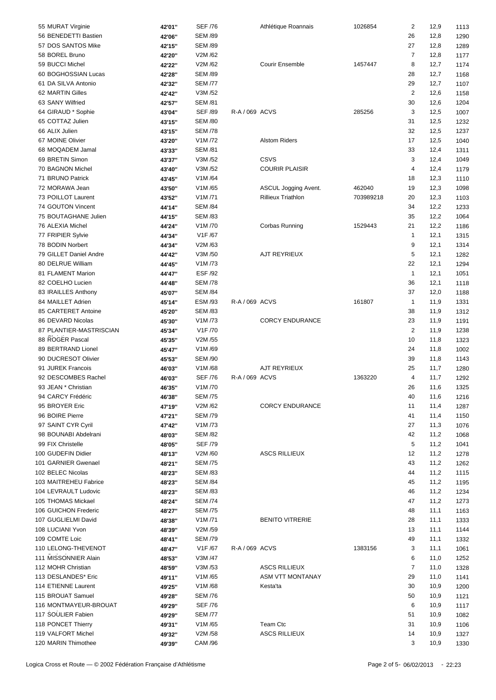| 55 MURAT Virginie       | 42'01" | <b>SEF /76</b>                  |                | Athlétique Roannais       | 1026854   | 2              | 12,9 | 1113 |
|-------------------------|--------|---------------------------------|----------------|---------------------------|-----------|----------------|------|------|
| 56 BENEDETTI Bastien    | 42'06" | <b>SEM /89</b>                  |                |                           |           | 26             | 12,8 | 1290 |
| 57 DOS SANTOS Mike      | 42'15" | <b>SEM /89</b>                  |                |                           |           | 27             | 12,8 | 1289 |
| 58 BOREL Bruno          | 42'20" | V2M/62                          |                |                           |           | $\overline{7}$ | 12,8 | 1177 |
|                         |        | V2M/62                          |                | <b>Courir Ensemble</b>    |           |                |      |      |
| 59 BUCCI Michel         | 42'22" |                                 |                |                           | 1457447   | 8              | 12,7 | 1174 |
| 60 BOGHOSSIAN Lucas     | 42'28" | <b>SEM /89</b>                  |                |                           |           | 28             | 12,7 | 1168 |
| 61 DA SILVA Antonio     | 42'32" | <b>SEM /77</b>                  |                |                           |           | 29             | 12,7 | 1107 |
| 62 MARTIN Gilles        | 42'42" | V3M /52                         |                |                           |           | $\overline{2}$ | 12,6 | 1158 |
| 63 SANY Wilfried        | 42'57" | <b>SEM /81</b>                  |                |                           |           | 30             | 12,6 | 1204 |
| 64 GIRAUD * Sophie      | 43'04" | <b>SEF /89</b>                  | R-A / 069 ACVS |                           | 285256    | 3              | 12,5 | 1007 |
| 65 COTTAZ Julien        | 43'15" | <b>SEM /80</b>                  |                |                           |           | 31             | 12,5 | 1232 |
| 66 ALIX Julien          | 43'15" | <b>SEM /78</b>                  |                |                           |           | 32             | 12,5 | 1237 |
| 67 MOINE Olivier        | 43'20" | V1M/72                          |                | <b>Alstom Riders</b>      |           | 17             | 12,5 | 1040 |
| 68 MOQADEM Jamal        | 43'33" | <b>SEM /81</b>                  |                |                           |           | 33             | 12,4 | 1311 |
| 69 BRETIN Simon         | 43'37" | V3M /52                         |                | CSVS                      |           | 3              | 12,4 |      |
|                         |        |                                 |                |                           |           |                |      | 1049 |
| 70 BAGNON Michel        | 43'40" | V3M /52                         |                | <b>COURIR PLAISIR</b>     |           | 4              | 12,4 | 1179 |
| 71 BRUNO Patrick        | 43'45" | V1M/64                          |                |                           |           | 18             | 12,3 | 1110 |
| 72 MORAWA Jean          | 43'50" | V1M/65                          |                | ASCUL Jogging Avent.      | 462040    | 19             | 12,3 | 1098 |
| 73 POILLOT Laurent      | 43'52" | V1M/71                          |                | <b>Rillieux Triathlon</b> | 703989218 | 20             | 12,3 | 1103 |
| 74 GOUTON Vincent       | 44'14" | <b>SEM /84</b>                  |                |                           |           | 34             | 12,2 | 1233 |
| 75 BOUTAGHANE Julien    | 44'15" | <b>SEM /83</b>                  |                |                           |           | 35             | 12,2 | 1064 |
| 76 ALEXIA Michel        | 44'24" | V1M /70                         |                | Corbas Running            | 1529443   | 21             | 12,2 | 1186 |
| 77 FRIPIER Sylvie       | 44'34" | V1F/67                          |                |                           |           | 1              | 12,1 | 1315 |
| 78 BODIN Norbert        | 44'34" | V2M/63                          |                |                           |           | 9              | 12,1 | 1314 |
| 79 GILLET Daniel Andre  |        | V3M /50                         |                | AJT REYRIEUX              |           | 5              | 12,1 |      |
|                         | 44'42" |                                 |                |                           |           |                |      | 1282 |
| 80 DELRUE William       | 44'45" | V1M/73                          |                |                           |           | 22             | 12,1 | 1294 |
| 81 FLAMENT Marion       | 44'47" | <b>ESF/92</b>                   |                |                           |           | $\mathbf{1}$   | 12,1 | 1051 |
| 82 COELHO Lucien        | 44'48" | <b>SEM /78</b>                  |                |                           |           | 36             | 12,1 | 1118 |
| 83 IRAILLES Anthony     | 45'07" | <b>SEM /84</b>                  |                |                           |           | 37             | 12,0 | 1188 |
| 84 MAILLET Adrien       | 45'14" | <b>ESM /93</b>                  | R-A / 069 ACVS |                           | 161807    | $\mathbf{1}$   | 11,9 | 1331 |
| 85 CARTERET Antoine     | 45'20" | <b>SEM /83</b>                  |                |                           |           | 38             | 11,9 | 1312 |
| 86 DEVARD Nicolas       | 45'30" | V1M/73                          |                | <b>CORCY ENDURANCE</b>    |           | 23             | 11,9 | 1191 |
| 87 PLANTIER-MASTRISCIAN | 45'34" | V1F /70                         |                |                           |           | $\overline{2}$ | 11,9 | 1238 |
| 88 ROGER Pascal         | 45'35" | V2M /55                         |                |                           |           | 10             | 11,8 | 1323 |
| 89 BERTRAND Lionel      | 45'47" | V1M/69                          |                |                           |           | 24             | 11,8 | 1002 |
|                         |        |                                 |                |                           |           |                |      |      |
| 90 DUCRESOT Olivier     | 45'53" | <b>SEM /90</b>                  |                |                           |           | 39             | 11,8 | 1143 |
| 91 JUREK Francois       | 46'03" | V1M/68                          |                | AJT REYRIEUX              |           | 25             | 11,7 | 1280 |
| 92 DESCOMBES Rachel     | 46'03" | <b>SEF /76</b>                  | R-A / 069 ACVS |                           | 1363220   | 4              | 11,7 | 1292 |
| 93 JEAN * Christian     | 46'35" | V <sub>1</sub> M <sub>/70</sub> |                |                           |           | 26             | 11,6 | 1325 |
| 94 CARCY Frédéric       | 46'38" | <b>SEM /75</b>                  |                |                           |           | 40             | 11,6 | 1216 |
| 95 BROYER Eric          | 47'19" | V2M /62                         |                | <b>CORCY ENDURANCE</b>    |           | 11             | 11,4 | 1287 |
| 96 BOIRE Pierre         | 47'21" | <b>SEM /79</b>                  |                |                           |           | 41             | 11,4 | 1150 |
| 97 SAINT CYR Cyril      | 47'42" | V1M /73                         |                |                           |           | 27             | 11,3 | 1076 |
| 98 BOUNABI Abdelrani    | 48'03" | <b>SEM /82</b>                  |                |                           |           | 42             | 11,2 | 1068 |
| 99 FIX Christelle       | 48'05" | <b>SEF /79</b>                  |                |                           |           | 5              | 11,2 | 1041 |
|                         |        |                                 |                |                           |           |                |      |      |
| 100 GUDEFIN Didier      | 48'13" | V2M /60                         |                | <b>ASCS RILLIEUX</b>      |           | 12             | 11,2 | 1278 |
| 101 GARNIER Gwenael     | 48'21" | <b>SEM /75</b>                  |                |                           |           | 43             | 11,2 | 1262 |
| 102 BELEC Nicolas       | 48'23" | <b>SEM /83</b>                  |                |                           |           | 44             | 11,2 | 1115 |
| 103 MAITREHEU Fabrice   | 48'23" | <b>SEM /84</b>                  |                |                           |           | 45             | 11,2 | 1195 |
| 104 LEVRAULT Ludovic    | 48'23" | <b>SEM /83</b>                  |                |                           |           | 46             | 11,2 | 1234 |
| 105 THOMAS Mickael      | 48'24" | <b>SEM /74</b>                  |                |                           |           | 47             | 11,2 | 1273 |
| 106 GUICHON Frederic    | 48'27" | <b>SEM /75</b>                  |                |                           |           | 48             | 11,1 | 1163 |
| 107 GUGLIELMI David     | 48'38" | V1M/71                          |                | <b>BENITO VITRERIE</b>    |           | 28             | 11,1 | 1333 |
| 108 LUCIANI Yvon        | 48'39" | V2M /59                         |                |                           |           | 13             | 11,1 | 1144 |
| 109 COMTE Loic          | 48'41" | <b>SEM /79</b>                  |                |                           |           | 49             | 11,1 | 1332 |
| 110 LELONG-THEVENOT     |        | V1F/67                          | R-A / 069 ACVS |                           | 1383156   |                |      |      |
|                         | 48'47" |                                 |                |                           |           | 3              | 11,1 | 1061 |
| 111 MISSONNIER Alain    | 48'53" | V3M /47                         |                |                           |           | 6              | 11,0 | 1252 |
| 112 MOHR Christian      | 48'59" | V3M /53                         |                | <b>ASCS RILLIEUX</b>      |           | 7              | 11,0 | 1328 |
| 113 DESLANDES* Eric     | 49'11" | V1M/65                          |                | <b>ASM VTT MONTANAY</b>   |           | 29             | 11,0 | 1141 |
| 114 ETIENNE Laurent     | 49'25" | V1M/68                          |                | Kesta'ta                  |           | 30             | 10,9 | 1200 |
| 115 BROUAT Samuel       | 49'28" | <b>SEM /76</b>                  |                |                           |           | 50             | 10,9 | 1121 |
| 116 MONTMAYEUR-BROUAT   | 49'29" | <b>SEF /76</b>                  |                |                           |           | 6              | 10,9 | 1117 |
| 117 SOULIER Fabien      | 49'29" | <b>SEM /77</b>                  |                |                           |           | 51             | 10,9 | 1082 |
| 118 PONCET Thierry      | 49'31" | V1M/65                          |                | Team Ctc                  |           | 31             | 10,9 | 1106 |
| 119 VALFORT Michel      |        | V2M /58                         |                | <b>ASCS RILLIEUX</b>      |           | 14             | 10,9 | 1327 |
|                         | 49'32" |                                 |                |                           |           |                |      |      |
| 120 MARIN Thimothee     | 49'39" | CAM /96                         |                |                           |           | 3              | 10,9 | 1330 |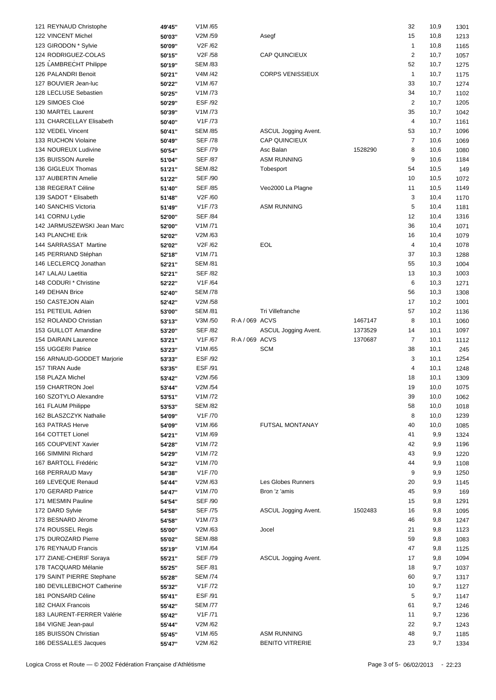| 121 REYNAUD Christophe      | 49'45" | V1M/65               |                |                         |         | 32             | 10,9 | 1301 |
|-----------------------------|--------|----------------------|----------------|-------------------------|---------|----------------|------|------|
| 122 VINCENT Michel          | 50'03" | V2M /59              |                | Asegf                   |         | 15             | 10,8 | 1213 |
| 123 GIRODON * Sylvie        | 50'09" | V2F /62              |                |                         |         | $\mathbf{1}$   | 10,8 | 1165 |
| 124 RODRIGUEZ-COLAS         | 50'15" | V2F /58              |                | <b>CAP QUINCIEUX</b>    |         | $\sqrt{2}$     | 10,7 | 1057 |
|                             |        |                      |                |                         |         |                |      |      |
| 125 LAMBRECHT Philippe      | 50'19" | <b>SEM /83</b>       |                |                         |         | 52             | 10,7 | 1275 |
| 126 PALANDRI Benoit         | 50'21" | V4M /42              |                | <b>CORPS VENISSIEUX</b> |         | $\mathbf{1}$   | 10,7 | 1175 |
| 127 BOUVIER Jean-luc        | 50'22" | V1M/67               |                |                         |         | 33             | 10,7 | 1274 |
| 128 LECLUSE Sebastien       | 50'25" | V1M /73              |                |                         |         | 34             | 10,7 | 1102 |
| 129 SIMOES Cloé             | 50'29" | <b>ESF /92</b>       |                |                         |         | $\overline{2}$ | 10,7 | 1205 |
| 130 MARTEL Laurent          | 50'39" | V1M /73              |                |                         |         | 35             | 10,7 | 1042 |
| 131 CHARCELLAY Elisabeth    |        | V1F /73              |                |                         |         | 4              | 10,7 | 1161 |
|                             | 50'40" |                      |                |                         |         |                |      |      |
| 132 VEDEL Vincent           | 50'41" | <b>SEM /85</b>       |                | ASCUL Jogging Avent.    |         | 53             | 10,7 | 1096 |
| 133 RUCHON Violaine         | 50'49" | <b>SEF /78</b>       |                | <b>CAP QUINCIEUX</b>    |         | $\overline{7}$ | 10,6 | 1069 |
| 134 NOUREUX Ludivine        | 50'54" | <b>SEF /79</b>       |                | Asc Balan               | 1528290 | 8              | 10,6 | 1080 |
| 135 BUISSON Aurelie         | 51'04" | <b>SEF /87</b>       |                | <b>ASM RUNNING</b>      |         | 9              | 10,6 | 1184 |
| 136 GIGLEUX Thomas          | 51'21" | <b>SEM /82</b>       |                | Tobesport               |         | 54             | 10,5 | 149  |
| 137 AUBERTIN Amelie         | 51'22" | <b>SEF /90</b>       |                |                         |         | 10             | 10,5 | 1072 |
| 138 REGERAT Céline          |        | <b>SEF /85</b>       |                | Veo2000 La Plagne       |         | 11             | 10,5 | 1149 |
|                             | 51'40" |                      |                |                         |         |                |      |      |
| 139 SADOT * Elisabeth       | 51'48" | V2F /60              |                |                         |         | 3              | 10,4 | 1170 |
| 140 SANCHIS Victoria        | 51'49" | V <sub>1</sub> F /73 |                | <b>ASM RUNNING</b>      |         | 5              | 10,4 | 1181 |
| 141 CORNU Lydie             | 52'00" | <b>SEF /84</b>       |                |                         |         | 12             | 10,4 | 1316 |
| 142 JARMUSZEWSKI Jean Marc  | 52'00" | V1M/71               |                |                         |         | 36             | 10,4 | 1071 |
| 143 PLANCHE Erik            | 52'02" | V2M /63              |                |                         |         | 16             | 10,4 | 1079 |
| 144 SARRASSAT Martine       | 52'02" | V2F /62              |                | EOL                     |         | 4              | 10,4 | 1078 |
| 145 PERRIAND Stéphan        |        | V1M/71               |                |                         |         | 37             | 10,3 | 1288 |
|                             | 52'18" |                      |                |                         |         |                |      |      |
| 146 LECLERCQ Jonathan       | 52'21" | <b>SEM /81</b>       |                |                         |         | 55             | 10,3 | 1004 |
| 147 LALAU Laetitia          | 52'21" | <b>SEF /82</b>       |                |                         |         | 13             | 10,3 | 1003 |
| 148 CODURI * Christine      | 52'22" | V1F /64              |                |                         |         | 6              | 10,3 | 1271 |
| 149 DEHAN Brice             | 52'40" | <b>SEM /78</b>       |                |                         |         | 56             | 10,3 | 1308 |
| 150 CASTEJON Alain          | 52'42" | V2M /58              |                |                         |         | 17             | 10,2 | 1001 |
| 151 PETEUIL Adrien          | 53'00" | <b>SEM /81</b>       |                | Tri Villefranche        |         | 57             | 10,2 | 1136 |
| 152 ROLANDO Christian       | 53'13" | V3M /50              | R-A / 069 ACVS |                         | 1467147 | 8              | 10,1 | 1060 |
|                             |        |                      |                |                         |         |                |      |      |
| 153 GUILLOT Amandine        | 53'20" | <b>SEF /82</b>       |                | ASCUL Jogging Avent.    | 1373529 | 14             | 10,1 | 1097 |
| 154 DAIRAIN Laurence        | 53'21" | V1F /67              | R-A / 069 ACVS |                         | 1370687 | $\overline{7}$ | 10,1 | 1112 |
| 155 UGGERI Patrice          | 53'23" | V1M/65               |                | <b>SCM</b>              |         | 38             | 10,1 | 245  |
| 156 ARNAUD-GODDET Marjorie  | 53'33" | <b>ESF/92</b>        |                |                         |         | 3              | 10,1 | 1254 |
| 157 TIRAN Aude              | 53'35" | ESF /91              |                |                         |         | 4              | 10,1 | 1248 |
| 158 PLAZA Michel            | 53'42" | V2M /56              |                |                         |         | 18             | 10,1 | 1309 |
| 159 CHARTRON Joel           | 53'44" | V2M /54              |                |                         |         | 19             | 10,0 | 1075 |
|                             |        |                      |                |                         |         |                |      |      |
| 160 SZOTYLO Alexandre       | 53'51" | V1M /72              |                |                         |         | 39             | 10,0 | 1062 |
| 161 FLAUM Philippe          | 53'53" | <b>SEM /82</b>       |                |                         |         | 58             | 10,0 | 1018 |
| 162 BLASZCZYK Nathalie      | 54'09" | V <sub>1</sub> F /70 |                |                         |         | 8              | 10,0 | 1239 |
| 163 PATRAS Herve            | 54'09" | V1M/66               |                | FUTSAL MONTANAY         |         | 40             | 10,0 | 1085 |
| 164 COTTET Lionel           | 54'21" | V1M/69               |                |                         |         | 41             | 9,9  | 1324 |
| 165 COUPVENT Xavier         | 54'28" | V1M /72              |                |                         |         | 42             | 9,9  | 1196 |
| 166 SIMMINI Richard         | 54'29" | V1M /72              |                |                         |         | 43             | 9,9  | 1220 |
| 167 BARTOLL Frédéric        |        | V1M /70              |                |                         |         | 44             | 9,9  |      |
|                             | 54'32" |                      |                |                         |         |                |      | 1108 |
| 168 PERRAUD Mavy            | 54'38" | V1F /70              |                |                         |         | 9              | 9,9  | 1250 |
| 169 LEVEQUE Renaud          | 54'44" | V2M /63              |                | Les Globes Runners      |         | 20             | 9,9  | 1145 |
| 170 GERARD Patrice          | 54'47" | V1M /70              |                | Bron 'z 'amis           |         | 45             | 9,9  | 169  |
| 171 MESMIN Pauline          | 54'54" | <b>SEF /90</b>       |                |                         |         | 15             | 9,8  | 1291 |
| 172 DARD Sylvie             | 54'58" | <b>SEF /75</b>       |                | ASCUL Jogging Avent.    | 1502483 | 16             | 9,8  | 1095 |
| 173 BESNARD Jérome          | 54'58" | V1M /73              |                |                         |         | 46             | 9,8  | 1247 |
| 174 ROUSSEL Regis           | 55'00" | V2M /63              |                | Jocel                   |         | 21             | 9,8  |      |
|                             |        |                      |                |                         |         |                |      | 1123 |
| 175 DUROZARD Pierre         | 55'02" | <b>SEM /88</b>       |                |                         |         | 59             | 9,8  | 1083 |
| 176 REYNAUD Francis         | 55'19" | V1M/64               |                |                         |         | 47             | 9,8  | 1125 |
| 177 ZIANE-CHERIF Soraya     | 55'21" | <b>SEF /79</b>       |                | ASCUL Jogging Avent.    |         | 17             | 9,8  | 1094 |
| 178 TACQUARD Mélanie        | 55'25" | <b>SEF /81</b>       |                |                         |         | 18             | 9,7  | 1037 |
| 179 SAINT PIERRE Stephane   | 55'28" | <b>SEM /74</b>       |                |                         |         | 60             | 9,7  | 1317 |
| 180 DEVILLEBICHOT Catherine | 55'32" | V1F /72              |                |                         |         | 10             | 9,7  | 1127 |
| 181 PONSARD Céline          | 55'41" | ESF /91              |                |                         |         | 5              | 9,7  | 1147 |
| 182 CHAIX Francois          |        | <b>SEM /77</b>       |                |                         |         | 61             |      |      |
|                             | 55'42" |                      |                |                         |         |                | 9,7  | 1246 |
| 183 LAURENT-FERRER Valérie  | 55'42" | V1F /71              |                |                         |         | 11             | 9,7  | 1236 |
| 184 VIGNE Jean-paul         | 55'44" | V2M /62              |                |                         |         | 22             | 9,7  | 1243 |
| 185 BUISSON Christian       | 55'45" | V1M /65              |                | <b>ASM RUNNING</b>      |         | 48             | 9,7  | 1185 |
| 186 DESSALLES Jacques       | 55'47" | V2M /62              |                | <b>BENITO VITRERIE</b>  |         | 23             | 9,7  | 1334 |
|                             |        |                      |                |                         |         |                |      |      |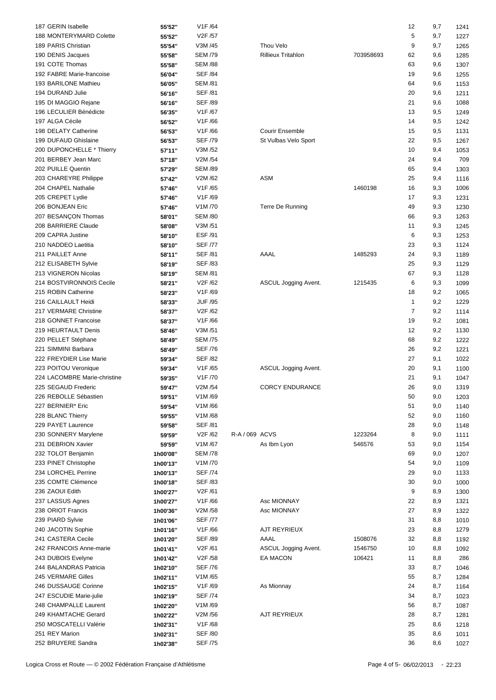| 187 GERIN Isabelle           | 55'52"   | V1F /64                          |                |                           |           | 12             | 9,7 | 1241 |
|------------------------------|----------|----------------------------------|----------------|---------------------------|-----------|----------------|-----|------|
| 188 MONTERYMARD Colette      | 55'52"   | V <sub>2</sub> F /57             |                |                           |           | 5              | 9,7 | 1227 |
| 189 PARIS Christian          | 55'54"   | V3M /45                          |                | Thou Velo                 |           | 9              | 9,7 | 1265 |
| 190 DENIS Jacques            | 55'58"   | <b>SEM /79</b>                   |                | <b>Rillieux Tritahlon</b> | 703958693 | 62             | 9,6 | 1285 |
| 191 COTE Thomas              | 55'58"   | <b>SEM /88</b>                   |                |                           |           | 63             | 9,6 | 1307 |
| 192 FABRE Marie-francoise    | 56'04"   | <b>SEF /84</b>                   |                |                           |           | 19             | 9,6 | 1255 |
| 193 BARILONE Mathieu         |          |                                  |                |                           |           |                |     |      |
|                              | 56'05"   | <b>SEM /81</b>                   |                |                           |           | 64             | 9,6 | 1153 |
| 194 DURAND Julie             | 56'16"   | <b>SEF /81</b>                   |                |                           |           | 20             | 9,6 | 1211 |
| 195 DI MAGGIO Rejane         | 56'16"   | <b>SEF /89</b>                   |                |                           |           | 21             | 9,6 | 1088 |
| 196 LECULIER Bénédicte       | 56'35"   | V <sub>1</sub> F /67             |                |                           |           | 13             | 9,5 | 1249 |
| 197 ALGA Cécile              | 56'52"   | V1F/66                           |                |                           |           | 14             | 9,5 | 1242 |
| 198 DELATY Catherine         | 56'53"   | V1F /66                          |                | <b>Courir Ensemble</b>    |           | 15             | 9,5 | 1131 |
| 199 DUFAUD Ghislaine         | 56'53"   | <b>SEF /79</b>                   |                | St Vulbas Velo Sport      |           | 22             | 9,5 | 1267 |
| 200 DUPONCHELLE * Thierry    | 57'11"   | V3M /52                          |                |                           |           | 10             | 9,4 | 1053 |
| 201 BERBEY Jean Marc         | 57'18"   | V2M /54                          |                |                           |           | 24             | 9,4 | 709  |
| 202 PUILLE Quentin           | 57'29"   | <b>SEM /89</b>                   |                |                           |           | 65             | 9,4 | 1303 |
| 203 CHAREYRE Philippe        | 57'42"   | V2M /62                          |                | ASM                       |           | 25             | 9,4 | 1116 |
|                              |          |                                  |                |                           |           |                |     |      |
| 204 CHAPEL Nathalie          | 57'46"   | V1F /65                          |                |                           | 1460198   | 16             | 9,3 | 1006 |
| 205 CREPET Lydie             | 57'46"   | V1F /69                          |                |                           |           | 17             | 9,3 | 1231 |
| 206 BONJEAN Eric             | 57'46"   | V <sub>1</sub> M /70             |                | Terre De Running          |           | 49             | 9,3 | 1230 |
| 207 BESANÇON Thomas          | 58'01"   | <b>SEM /80</b>                   |                |                           |           | 66             | 9,3 | 1263 |
| 208 BARRIERE Claude          | 58'08"   | V3M /51                          |                |                           |           | 11             | 9,3 | 1245 |
| 209 CAPRA Justine            | 58'10"   | <b>ESF/91</b>                    |                |                           |           | 6              | 9,3 | 1253 |
| 210 NADDEO Laetitia          | 58'10"   | <b>SEF /77</b>                   |                |                           |           | 23             | 9,3 | 1124 |
| 211 PAILLET Anne             | 58'11"   | <b>SEF /81</b>                   |                | AAAL                      | 1485293   | 24             | 9,3 | 1189 |
| 212 ELISABETH Sylvie         | 58'19"   | <b>SEF /83</b>                   |                |                           |           | 25             | 9,3 | 1129 |
| 213 VIGNERON Nicolas         | 58'19"   | <b>SEM /81</b>                   |                |                           |           | 67             | 9,3 | 1128 |
| 214 BOSTVIRONNOIS Cecile     | 58'21"   | V2F /62                          |                | ASCUL Jogging Avent.      | 1215435   | 6              | 9,3 | 1099 |
| 215 ROBIN Catherine          |          | V1F /69                          |                |                           |           | 18             |     |      |
|                              | 58'23"   |                                  |                |                           |           |                | 9,2 | 1065 |
| 216 CAILLAULT Heidi          | 58'33"   | <b>JUF /95</b>                   |                |                           |           | $\mathbf{1}$   | 9,2 | 1229 |
| 217 VERMARE Christine        | 58'37"   | V2F /62                          |                |                           |           | $\overline{7}$ | 9,2 | 1114 |
| 218 GONNET Francoise         | 58'37"   | V1F/66                           |                |                           |           | 19             | 9,2 | 1081 |
| 219 HEURTAULT Denis          | 58'46"   | V3M /51                          |                |                           |           | 12             | 9,2 | 1130 |
| 220 PELLET Stéphane          | 58'49"   | <b>SEM /75</b>                   |                |                           |           | 68             | 9,2 | 1222 |
| 221 SIMMINI Barbara          | 58'49"   | <b>SEF /76</b>                   |                |                           |           | 26             | 9,2 | 1221 |
| 222 FREYDIER Lise Marie      | 59'34"   | <b>SEF /82</b>                   |                |                           |           | 27             | 9,1 | 1022 |
| 223 POITOU Veronique         | 59'34"   | V1F /65                          |                | ASCUL Jogging Avent.      |           | 20             | 9,1 | 1100 |
| 224 LACOMBRE Marie-christine | 59'35"   | V <sub>1</sub> F /70             |                |                           |           | 21             | 9,1 | 1047 |
| 225 SEGAUD Frederic          | 59'47"   | V2M /54                          |                | <b>CORCY ENDURANCE</b>    |           | 26             | 9,0 | 1319 |
| 226 REBOLLE Sébastien        | 59'51"   | V1M/69                           |                |                           |           | 50             | 9,0 | 1203 |
| 227 BERNIER* Eric            | 59'54"   | V1M/66                           |                |                           |           | 51             | 9,0 | 1140 |
|                              |          | V1M/68                           |                |                           |           |                |     |      |
| 228 BLANC Thierry            | 59'55"   |                                  |                |                           |           | 52             | 9,0 | 1160 |
| 229 PAYET Laurence           | 59'58"   | <b>SEF /81</b>                   |                |                           |           | 28             | 9,0 | 1148 |
| 230 SONNERY Marylene         | 59'59"   | V2F /62                          | R-A / 069 ACVS |                           | 1223264   | 8              | 9,0 | 1111 |
| 231 DEBRION Xavier           | 59'59"   | V1M/67                           |                | As Ibm Lyon               | 546576    | 53             | 9,0 | 1154 |
| 232 TOLOT Benjamin           | 1h00'08" | <b>SEM /78</b>                   |                |                           |           | 69             | 9,0 | 1207 |
| 233 PINET Christophe         | 1h00'13" | V1M /70                          |                |                           |           | 54             | 9,0 | 1109 |
| 234 LORCHEL Perrine          | 1h00'13" | <b>SEF /74</b>                   |                |                           |           | 29             | 9,0 | 1133 |
| 235 COMTE Clémence           | 1h00'18" | <b>SEF /83</b>                   |                |                           |           | 30             | 9,0 | 1000 |
| 236 ZAOUI Edith              | 1h00'27" | V2F /61                          |                |                           |           | 9              | 8,9 | 1300 |
| 237 LASSUS Agnes             | 1h00'27" | V1F /66                          |                | Asc MIONNAY               |           | 22             | 8,9 | 1321 |
| 238 ORIOT Francis            | 1h00'36" | V2M /58                          |                | Asc MIONNAY               |           | 27             | 8,9 | 1322 |
| 239 PIARD Sylvie             | 1h01'06" | <b>SEF /77</b>                   |                |                           |           | 31             | 8,8 | 1010 |
| 240 JACOTIN Sophie           | 1h01'16" | V1F /66                          |                | AJT REYRIEUX              |           | 23             | 8,8 |      |
|                              |          |                                  |                |                           |           |                |     | 1279 |
| 241 CASTERA Cecile           | 1h01'20" | <b>SEF /89</b>                   |                | AAAL                      | 1508076   | 32             | 8,8 | 1192 |
| 242 FRANCOIS Anne-marie      | 1h01'41" | V2F /61                          |                | ASCUL Jogging Avent.      | 1546750   | 10             | 8,8 | 1092 |
| 243 DUBOIS Evelyne           | 1h01'42" | V <sub>2</sub> F / <sub>58</sub> |                | EA MACON                  | 106421    | 11             | 8,8 | 286  |
| 244 BALANDRAS Patricia       | 1h02'10" | <b>SEF /76</b>                   |                |                           |           | 33             | 8,7 | 1046 |
| 245 VERMARE Gilles           | 1h02'11" | V1M /65                          |                |                           |           | 55             | 8,7 | 1284 |
| 246 DUSSAUGE Corinne         | 1h02'15" | V1F /69                          |                | As Mionnay                |           | 24             | 8,7 | 1164 |
| 247 ESCUDIE Marie-julie      | 1h02'19" | <b>SEF /74</b>                   |                |                           |           | 34             | 8,7 | 1023 |
| 248 CHAMPALLE Laurent        | 1h02'20" | V1M/69                           |                |                           |           | 56             | 8,7 | 1087 |
| 249 KHAMTACHE Gerard         | 1h02'22" | V2M /56                          |                | AJT REYRIEUX              |           | 28             | 8,7 | 1281 |
| 250 MOSCATELLI Valérie       | 1h02'31" | V1F /68                          |                |                           |           | 25             | 8,6 | 1218 |
| 251 REY Marion               | 1h02'31" | <b>SEF /80</b>                   |                |                           |           | 35             | 8,6 | 1011 |
| 252 BRUYERE Sandra           |          | <b>SEF /75</b>                   |                |                           |           | 36             | 8,6 |      |
|                              | 1h02'38" |                                  |                |                           |           |                |     | 1027 |